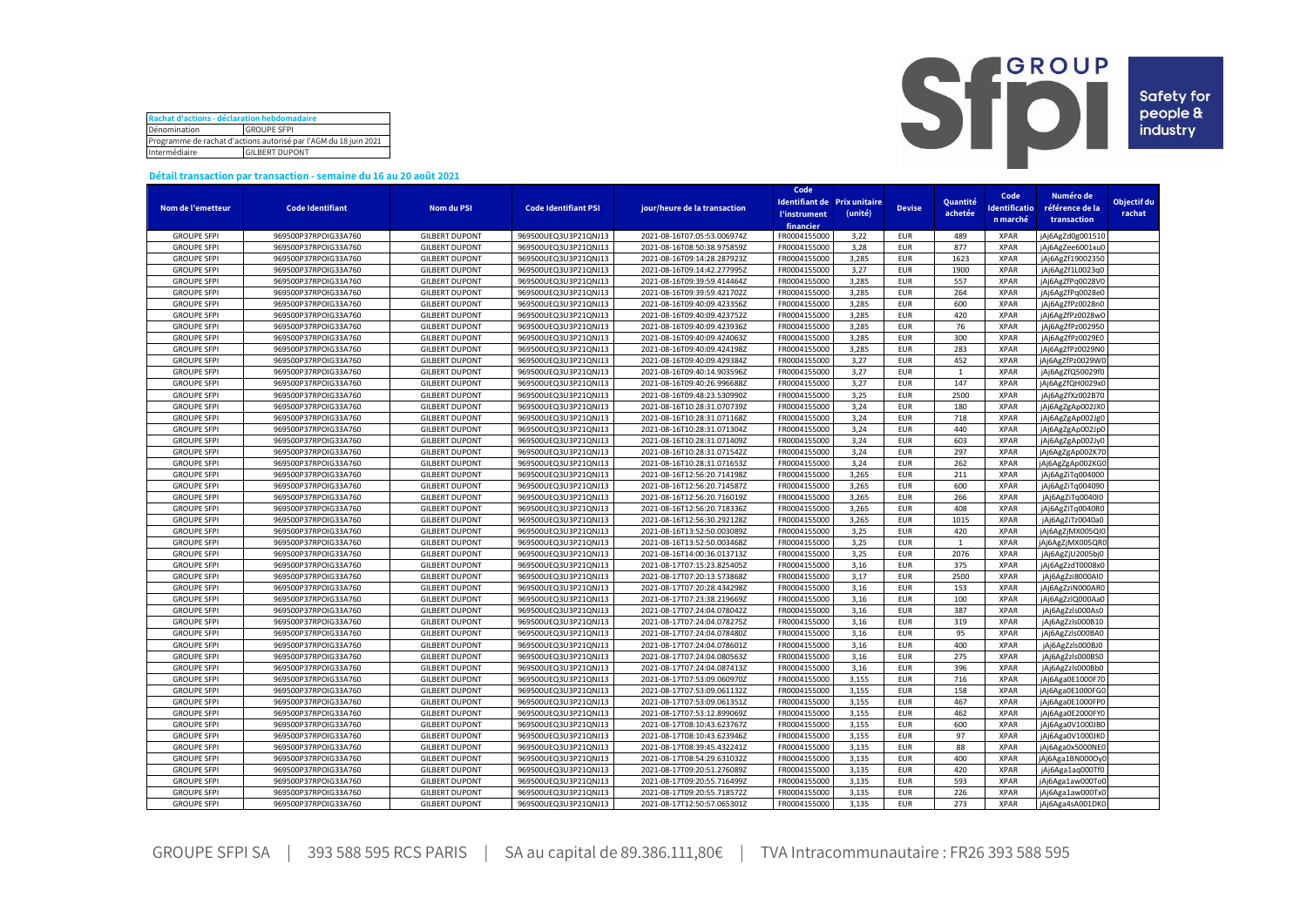| Rachat d'actions - déclaration hebdomadaire                      |  |  |  |  |  |  |  |  |
|------------------------------------------------------------------|--|--|--|--|--|--|--|--|
| Dénomination<br><b>GROUPE SFPI</b>                               |  |  |  |  |  |  |  |  |
| Programme de rachat d'actions autorisé par l'AGM du 18 juin 2021 |  |  |  |  |  |  |  |  |
| Intermédiaire<br><b>GILBERT DUPONT</b>                           |  |  |  |  |  |  |  |  |



## **Détail transaction par transaction - semaine du 16 au 20 août 2021**

|                    |                                              |                       |                                              |                                                            | Code                              |                              |                          |              | Code         | Numéro de        |             |
|--------------------|----------------------------------------------|-----------------------|----------------------------------------------|------------------------------------------------------------|-----------------------------------|------------------------------|--------------------------|--------------|--------------|------------------|-------------|
| Nom de l'emetteur  | <b>Code Identifiant</b>                      | Nom du PSI            | <b>Code Identifiant PSI</b>                  | jour/heure de la transaction                               |                                   | Identifiant de Prix unitaire | <b>Devise</b>            | Quantité     | dentificatio | référence de la  | Objectif du |
|                    |                                              |                       |                                              |                                                            | <b><i><u>l'instrument</u></i></b> | (unité)                      |                          | achetée      |              |                  | rachat      |
|                    |                                              |                       |                                              |                                                            | financier                         |                              |                          |              | n marché     | transaction      |             |
| <b>GROUPE SFPI</b> | 969500P37RPOIG33A760                         | <b>GILBERT DUPONT</b> | 969500UEQ3U3P21QNJ13                         | 2021-08-16T07:05:53.006974Z                                | FR0004155000                      | 3,22                         | <b>EUR</b>               | 489          | <b>XPAR</b>  | jAj6AgZd0g001510 |             |
| <b>GROUPE SFPI</b> | 969500P37RPOIG33A760                         | <b>GILBERT DUPONT</b> | 969500UEQ3U3P21QNJ13                         | 2021-08-16T08:50:38.975859Z                                | FR0004155000                      | 3,28                         | <b>EUR</b>               | 877          | <b>XPAR</b>  | jAj6AgZee6001xu0 |             |
| <b>GROUPE SFPI</b> | 969500P37RPOIG33A760                         | <b>GILBERT DUPONT</b> | 969500UEQ3U3P21QNJ13                         | 2021-08-16T09:14:28.287923Z                                | FR0004155000                      | 3,285                        | <b>EUR</b>               | 1623         | <b>XPAR</b>  | jAj6AgZf19002350 |             |
| <b>GROUPE SFPI</b> | 969500P37RPOIG33A760                         | <b>GILBERT DUPONT</b> | 969500UEQ3U3P21QNJ13                         | 2021-08-16T09:14:42.277995Z                                | FR0004155000                      | 3,27                         | <b>EUR</b>               | 1900         | <b>XPAR</b>  | jAj6AgZf1L0023q0 |             |
| <b>GROUPE SFPI</b> | 969500P37RPOIG33A760                         | <b>GILBERT DUPONT</b> | 969500UEQ3U3P21QNJ13                         | 2021-08-16T09:39:59.414464Z                                | FR0004155000                      | 3,285                        | <b>EUR</b>               | 557          | <b>XPAR</b>  | jAj6AgZfPq0028V0 |             |
| <b>GROUPE SFPI</b> | 969500P37RPOIG33A760                         | <b>GILBERT DUPONT</b> | 969500UEQ3U3P21QNJ13                         | 2021-08-16T09:39:59.421702Z                                | FR0004155000                      | 3,285                        | <b>EUR</b>               | 264          | <b>XPAR</b>  | jAj6AgZfPq0028e0 |             |
| <b>GROUPE SFPI</b> | 969500P37RPOIG33A760                         | <b>GILBERT DUPONT</b> | 969500UEQ3U3P21QNJ13                         | 2021-08-16T09:40:09.423356Z                                | FR0004155000                      | 3,285                        | <b>EUR</b>               | 600          | <b>XPAR</b>  | jAj6AgZfPz0028n0 |             |
| <b>GROUPE SFPI</b> | 969500P37RPOIG33A760                         | <b>GILBERT DUPONT</b> | 969500UEQ3U3P21QNJ13                         | 2021-08-16T09:40:09.423752Z                                | FR0004155000                      | 3,285                        | <b>EUR</b>               | 420          | <b>XPAR</b>  | jAj6AgZfPz0028w0 |             |
| <b>GROUPE SFPI</b> | 969500P37RPOIG33A760                         | <b>GILBERT DUPONT</b> | 969500UEQ3U3P21QNJ13                         | 2021-08-16T09:40:09.423936Z                                | FR0004155000                      | 3.285                        | <b>EUR</b>               | 76           | <b>XPAR</b>  | jAj6AgZfPz002950 |             |
| <b>GROUPE SFPI</b> | 969500P37RPOIG33A760                         | <b>GILBERT DUPONT</b> | 969500UEQ3U3P21QNJ13                         | 2021-08-16T09:40:09.424063Z                                | FR0004155000                      | 3,285                        | <b>EUR</b>               | 300          | <b>XPAR</b>  | jAj6AgZfPz0029E0 |             |
| <b>GROUPE SFPI</b> | 969500P37RPOIG33A760                         | <b>GILBERT DUPONT</b> | 969500UEQ3U3P21QNJ13                         | 2021-08-16T09:40:09.424198Z                                | FR0004155000                      | 3,285                        | <b>EUR</b>               | 283          | <b>XPAR</b>  | jAj6AgZfPz0029N0 |             |
| <b>GROUPE SFPI</b> | 969500P37RPOIG33A760                         | <b>GILBERT DUPONT</b> | 969500UEQ3U3P21QNJ13                         | 2021-08-16T09:40:09.429384Z                                | FR0004155000                      | 3,27                         | <b>EUR</b>               | 452          | <b>XPAR</b>  | jAj6AgZfPz0029W0 |             |
| <b>GROUPE SFPI</b> | 969500P37RPOIG33A760                         | <b>GILBERT DUPONT</b> | 969500UEQ3U3P21QNJ13                         | 2021-08-16T09:40:14.903596Z                                | FR0004155000                      | 3,27                         | <b>EUR</b>               | 1            | <b>XPAR</b>  | jAj6AgZfQ50029f0 |             |
| <b>GROUPE SFPI</b> | 969500P37RPOIG33A760                         | <b>GILBERT DUPONT</b> | 969500UEQ3U3P21QNJ13                         | 2021-08-16T09:40:26.996688Z                                | FR0004155000                      | 3,27                         | <b>EUR</b>               | 147          | <b>XPAR</b>  | jAj6AgZfQH0029x0 |             |
| <b>GROUPE SFPI</b> | 969500P37RPOIG33A760                         | <b>GILBERT DUPONT</b> | 969500UEQ3U3P21QNJ13                         | 2021-08-16T09:48:23.530990Z                                | FR0004155000                      | 3,25                         | <b>EUR</b>               | 2500         | <b>XPAR</b>  | jAj6AgZfXz002B70 |             |
| <b>GROUPE SFPI</b> | 969500P37RPOIG33A760                         | <b>GILBERT DUPONT</b> | 969500UEQ3U3P21QNJ13                         | 2021-08-16T10:28:31.070739Z                                | FR0004155000                      | 3,24                         | <b>EUR</b>               | 180          | <b>XPAR</b>  | jAj6AgZgAp002JX0 |             |
| <b>GROUPE SFPI</b> | 969500P37RPOIG33A760                         | <b>GILBERT DUPONT</b> | 969500UEQ3U3P21QNJ13                         | 2021-08-16T10:28:31.071168Z                                | FR0004155000                      | 3,24                         | <b>EUR</b>               | 718          | <b>XPAR</b>  | jAj6AgZgAp002Jg0 |             |
| <b>GROUPE SFPI</b> | 969500P37RPOIG33A760                         | <b>GILBERT DUPONT</b> | 969500UEQ3U3P21QNJ13                         | 2021-08-16T10:28:31.071304Z                                | FR0004155000                      | 3,24                         | <b>EUR</b>               | 440          | <b>XPAR</b>  | jAj6AgZgAp002Jp0 |             |
| <b>GROUPE SFPI</b> | 969500P37RPOIG33A760                         | <b>GILBERT DUPONT</b> | 969500UEQ3U3P21QNJ13                         | 2021-08-16T10:28:31.071409Z                                | FR0004155000                      | 3,24                         | <b>EUR</b>               | 603          | <b>XPAR</b>  | jAj6AgZgAp002Jy0 |             |
| <b>GROUPE SFPI</b> | 969500P37RPOIG33A760                         | <b>GILBERT DUPONT</b> | 969500UEQ3U3P21QNJ13                         | 2021-08-16T10:28:31.071542Z                                | FR0004155000                      | 3,24                         | <b>EUR</b>               | 297          | <b>XPAR</b>  | jAj6AgZgAp002K70 |             |
| <b>GROUPE SFPI</b> | 969500P37RPOIG33A760                         | <b>GILBERT DUPONT</b> | 969500UEQ3U3P21QNJ13                         | 2021-08-16T10:28:31.071653Z                                | FR0004155000                      | 3,24                         | <b>EUR</b>               | 262          | <b>XPAR</b>  | jAj6AgZgAp002KG0 |             |
| <b>GROUPE SFPI</b> | 969500P37RPOIG33A760                         | <b>GILBERT DUPONT</b> | 969500UEQ3U3P21QNJ13                         | 2021-08-16T12:56:20.714198Z                                | FR0004155000                      | 3,265                        | <b>EUR</b>               | 211          | <b>XPAR</b>  | jAj6AgZiTq004000 |             |
| <b>GROUPE SFPI</b> |                                              | <b>GILBERT DUPONT</b> |                                              |                                                            | FR0004155000                      | 3,265                        |                          | 600          | <b>XPAR</b>  |                  |             |
| <b>GROUPE SFPI</b> | 969500P37RPOIG33A760                         | <b>GILBERT DUPONT</b> | 969500UEQ3U3P21QNJ13                         | 2021-08-16T12:56:20.714587Z                                | FR0004155000                      | 3,265                        | <b>EUR</b><br><b>EUR</b> | 266          | <b>XPAR</b>  | jAj6AgZiTq004090 |             |
| <b>GROUPE SFPI</b> | 969500P37RPOIG33A760<br>969500P37RPOIG33A760 | <b>GILBERT DUPONT</b> | 969500UEQ3U3P21QNJ13<br>969500UEQ3U3P21QNJ13 | 2021-08-16T12:56:20.716019Z<br>2021-08-16T12:56:20.718336Z | FR0004155000                      | 3,265                        | <b>EUR</b>               | 408          | <b>XPAR</b>  | jAj6AgZiTq0040I0 |             |
| <b>GROUPE SFPI</b> |                                              | <b>GILBERT DUPONT</b> | 969500UEQ3U3P21QNJ13                         | 2021-08-16T12:56:30.292128Z                                | FR0004155000                      | 3,265                        | <b>EUR</b>               | 1015         | <b>XPAR</b>  | jAj6AgZiTq0040R0 |             |
|                    | 969500P37RPOIG33A760                         |                       |                                              |                                                            |                                   |                              |                          |              |              | jAj6AgZiTz0040a0 |             |
| <b>GROUPE SFPI</b> | 969500P37RPOIG33A760                         | <b>GILBERT DUPONT</b> | 969500UEQ3U3P21QNJ13                         | 2021-08-16T13:52:50.003089Z                                | FR0004155000                      | 3,25                         | <b>EUR</b>               | 420          | <b>XPAR</b>  | jAj6AgZjMX005QI0 |             |
| <b>GROUPE SFPI</b> | 969500P37RPOIG33A760                         | <b>GILBERT DUPONT</b> | 969500UEQ3U3P21QNJ13                         | 2021-08-16T13:52:50.003468Z                                | FR0004155000                      | 3,25                         | <b>EUR</b>               | $\mathbf{1}$ | <b>XPAR</b>  | jAj6AgZjMX005QRC |             |
| <b>GROUPE SFPI</b> | 969500P37RPOIG33A760                         | <b>GILBERT DUPONT</b> | 969500UEQ3U3P21QNJ13                         | 2021-08-16T14:00:36.013713Z                                | FR0004155000                      | 3,25                         | <b>EUR</b>               | 2076         | <b>XPAR</b>  | jAj6AgZjU2005bj0 |             |
| <b>GROUPE SFPI</b> | 969500P37RPOIG33A760                         | <b>GILBERT DUPONT</b> | 969500UEQ3U3P21QNJ13                         | 2021-08-17T07:15:23.825405Z                                | FR0004155000                      | 3,16                         | <b>EUR</b>               | 375          | <b>XPAR</b>  | jAj6AgZzdT0008x0 |             |
| <b>GROUPE SFPI</b> | 969500P37RPOIG33A760                         | <b>GILBERT DUPONT</b> | 969500UEQ3U3P21QNJ13                         | 2021-08-17T07:20:13.573868Z                                | FR0004155000                      | 3,17                         | <b>EUR</b>               | 2500         | <b>XPAR</b>  | jAj6AgZzi8000AI0 |             |
| <b>GROUPE SFPI</b> | 969500P37RPOIG33A760                         | <b>GILBERT DUPONT</b> | 969500UEQ3U3P21QNJ13                         | 2021-08-17T07:20:28.434298Z                                | FR0004155000                      | 3,16                         | <b>EUR</b>               | 153          | <b>XPAR</b>  | jAj6AgZziN000AR0 |             |
| <b>GROUPE SFPI</b> | 969500P37RPOIG33A760                         | <b>GILBERT DUPONT</b> | 969500UEQ3U3P21QNJ13                         | 2021-08-17T07:23:38.219669Z                                | FR0004155000                      | 3,16                         | <b>EUR</b>               | 100          | <b>XPAR</b>  | jAj6AgZzlQ000Aa0 |             |
| <b>GROUPE SFPI</b> | 969500P37RPOIG33A760                         | <b>GILBERT DUPONT</b> | 969500UEQ3U3P21QNJ13                         | 2021-08-17T07:24:04.078042Z                                | FR0004155000                      | 3,16                         | <b>EUR</b>               | 387          | <b>XPAR</b>  | jAj6AgZzls000As0 |             |
| <b>GROUPE SFPI</b> | 969500P37RPOIG33A760                         | <b>GILBERT DUPONT</b> | 969500UEQ3U3P21QNJ13                         | 2021-08-17T07:24:04.078275Z                                | FR0004155000                      | 3,16                         | <b>EUR</b>               | 319          | <b>XPAR</b>  | jAj6AgZzls000B10 |             |
| <b>GROUPE SFPI</b> | 969500P37RPOIG33A760                         | <b>GILBERT DUPONT</b> | 969500UEQ3U3P21QNJ13                         | 2021-08-17T07:24:04.078480Z                                | FR0004155000                      | 3,16                         | <b>EUR</b>               | 95           | <b>XPAR</b>  | jAj6AgZzls000BA0 |             |
| <b>GROUPE SFPI</b> | 969500P37RPOIG33A760                         | <b>GILBERT DUPONT</b> | 969500UEQ3U3P21QNJ13                         | 2021-08-17T07:24:04.078601Z                                | FR0004155000                      | 3,16                         | <b>EUR</b>               | 400          | <b>XPAR</b>  | jAj6AgZzls000BJ0 |             |
| <b>GROUPE SFPI</b> | 969500P37RPOIG33A760                         | <b>GILBERT DUPONT</b> | 969500UEQ3U3P21QNJ13                         | 2021-08-17T07:24:04.080563Z                                | FR0004155000                      | 3,16                         | <b>EUR</b>               | 275          | <b>XPAR</b>  | jAj6AgZzls000BS0 |             |
| <b>GROUPE SFPI</b> | 969500P37RPOIG33A760                         | <b>GILBERT DUPONT</b> | 969500UEQ3U3P21QNJ13                         | 2021-08-17T07:24:04.087413Z                                | FR0004155000                      | 3,16                         | <b>EUR</b>               | 396          | <b>XPAR</b>  | jAj6AgZzls000Bb0 |             |
| <b>GROUPE SFPI</b> | 969500P37RPOIG33A760                         | <b>GILBERT DUPONT</b> | 969500UEQ3U3P21QNJ13                         | 2021-08-17T07:53:09.060970Z                                | FR0004155000                      | 3,155                        | <b>EUR</b>               | 716          | <b>XPAR</b>  | jAj6Aga0E1000F70 |             |
| <b>GROUPE SFPI</b> | 969500P37RPOIG33A760                         | <b>GILBERT DUPONT</b> | 969500UEQ3U3P21QNJ13                         | 2021-08-17T07:53:09.061132Z                                | FR0004155000                      | 3,155                        | <b>EUR</b>               | 158          | <b>XPAR</b>  | jAj6Aga0E1000FG0 |             |
| <b>GROUPE SFPI</b> | 969500P37RPOIG33A760                         | <b>GILBERT DUPONT</b> | 969500UEQ3U3P21QNJ13                         | 2021-08-17T07:53:09.061351Z                                | FR0004155000                      | 3,155                        | <b>EUR</b>               | 467          | <b>XPAR</b>  | jAj6Aga0E1000FP0 |             |
| <b>GROUPE SFPI</b> | 969500P37RPOIG33A760                         | <b>GILBERT DUPONT</b> | 969500UEQ3U3P21QNJ13                         | 2021-08-17T07:53:12.899069Z                                | FR0004155000                      | 3,155                        | <b>EUR</b>               | 462          | <b>XPAR</b>  | jAj6Aga0E2000FY0 |             |
| <b>GROUPE SFPI</b> | 969500P37RPOIG33A760                         | <b>GILBERT DUPONT</b> | 969500UEQ3U3P21QNJ13                         | 2021-08-17T08:10:43.623767Z                                | FR0004155000                      | 3,155                        | <b>EUR</b>               | 600          | <b>XPAR</b>  | jAj6Aga0V1000JB0 |             |
| <b>GROUPE SFPI</b> | 969500P37RPOIG33A760                         | <b>GILBERT DUPONT</b> | 969500UEQ3U3P21QNJ13                         | 2021-08-17T08:10:43.623946Z                                | FR0004155000                      | 3,155                        | <b>EUR</b>               | 97           | <b>XPAR</b>  | jAj6Aga0V1000JK0 |             |
| <b>GROUPE SFPI</b> | 969500P37RPOIG33A760                         | <b>GILBERT DUPONT</b> | 969500UEQ3U3P21QNJ13                         | 2021-08-17T08:39:45.432241Z                                | FR0004155000                      | 3.135                        | <b>EUR</b>               | 88           | <b>XPAR</b>  | jAj6Aga0x5000NE0 |             |
| <b>GROUPE SFPI</b> | 969500P37RPOIG33A760                         | <b>GILBERT DUPONT</b> | 969500UEQ3U3P21QNJ13                         | 2021-08-17T08:54:29.631032Z                                | FR0004155000                      | 3,135                        | <b>EUR</b>               | 400          | <b>XPAR</b>  | jAj6Aga1BN000OyO |             |
| <b>GROUPE SFPI</b> | 969500P37RPOIG33A760                         | <b>GILBERT DUPONT</b> | 969500UEQ3U3P21QNJ13                         | 2021-08-17T09:20:51.276089Z                                | FR0004155000                      | 3,135                        | <b>EUR</b>               | 420          | <b>XPAR</b>  | jAj6Aga1aq000Tf0 |             |
| <b>GROUPE SFPI</b> | 969500P37RPOIG33A760                         | <b>GILBERT DUPONT</b> | 969500UEQ3U3P21QNJ13                         | 2021-08-17T09:20:55.716499Z                                | FR0004155000                      | 3,135                        | <b>EUR</b>               | 593          | <b>XPAR</b>  | jAj6Aga1aw000To0 |             |
| <b>GROUPE SFPI</b> | 969500P37RPOIG33A760                         | <b>GILBERT DUPONT</b> | 969500UEQ3U3P21QNJ13                         | 2021-08-17T09:20:55.718572Z                                | FR0004155000                      | 3.135                        | <b>EUR</b>               | 226          | <b>XPAR</b>  | jAj6Aga1aw000Tx0 |             |
| <b>GROUPE SFPI</b> | 969500P37RPOIG33A760                         | <b>GILBERT DUPONT</b> | 969500UEQ3U3P21QNJ13                         | 2021-08-17T12:50:57.065301Z                                | FR0004155000                      | 3,135                        | <b>EUR</b>               | 273          | <b>XPAR</b>  | jAj6Aga4sA001DK0 |             |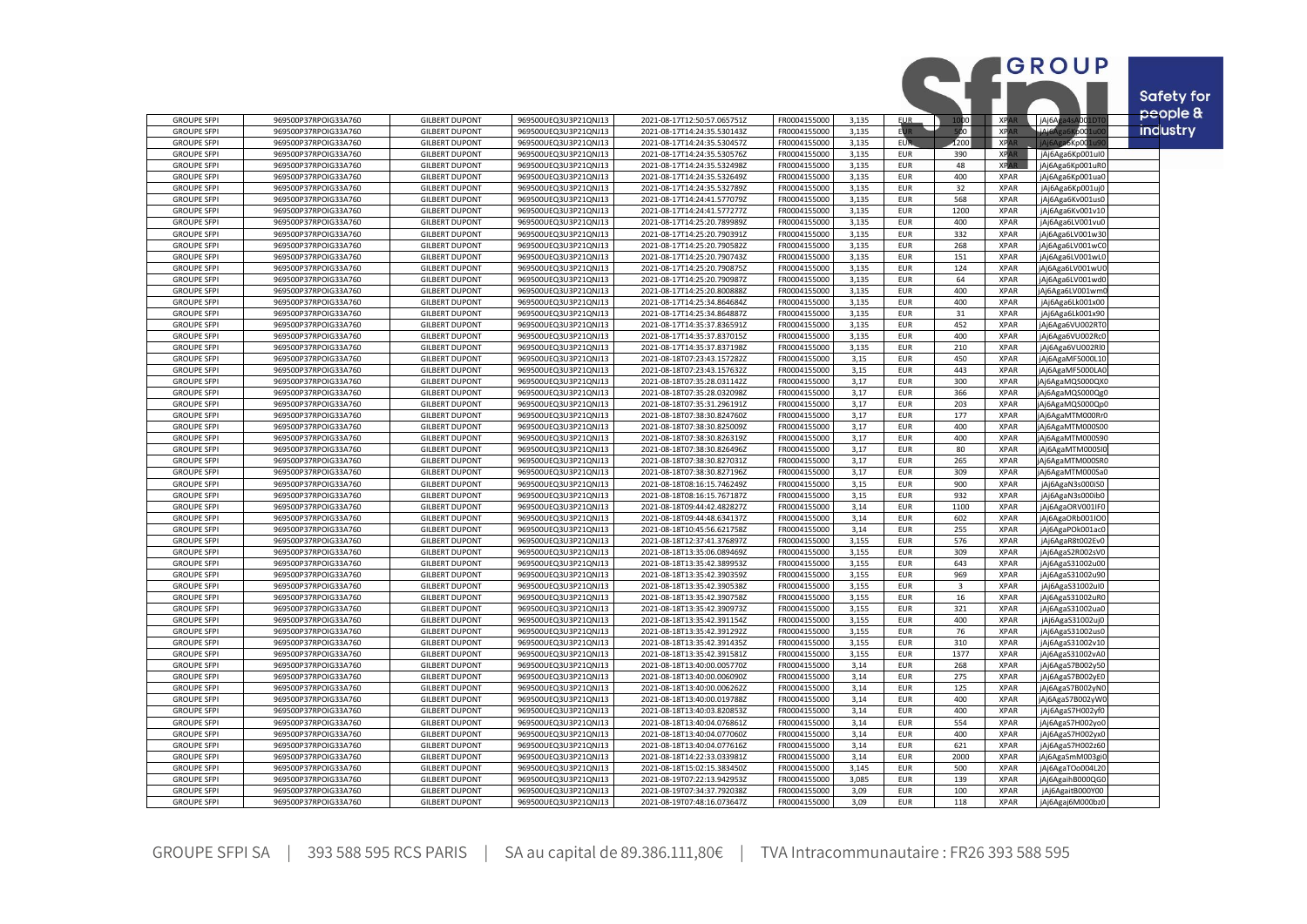|                                          |                                              |                                                |                                              |                                                            |                              |                |                          |                |                            | GROUP                                |                               |
|------------------------------------------|----------------------------------------------|------------------------------------------------|----------------------------------------------|------------------------------------------------------------|------------------------------|----------------|--------------------------|----------------|----------------------------|--------------------------------------|-------------------------------|
|                                          |                                              |                                                |                                              |                                                            |                              |                |                          |                |                            |                                      | <b>Safety for</b><br>people & |
| <b>GROUPE SFPI</b>                       | 969500P37RPOIG33A760                         | <b>GILBERT DUPONT</b>                          | 969500UEQ3U3P21QNJ13                         | 2021-08-17T12:50:57.065751Z                                | FR0004155000                 | 3,135          | <b>EUR</b>               | 1000           | <b>XPAR</b>                | jAj6Aga4sA001DT                      |                               |
| <b>GROUPE SFPI</b>                       | 969500P37RPOIG33A760                         | <b>GILBERT DUPONT</b>                          | 969500UEQ3U3P21QNJ13                         | 2021-08-17T14:24:35.530143Z                                | FR0004155000                 | 3,135          | <b>EUR</b>               | 500 I          | <b>XPAR</b>                | ألهنمنك<br>10001u                    | <b>industry</b>               |
| <b>GROUPE SFPI</b>                       | 969500P37RPOIG33A760                         | <b>GILBERT DUPONT</b>                          | 969500UEQ3U3P21QNJ13                         | 2021-08-17T14:24:35.530457Z                                | FR0004155000                 | 3,135          | <b>EUR</b>               | 1200           | <b>XPA</b>                 | a6Kp00:                              |                               |
| <b>GROUPE SFPI</b>                       | 969500P37RPOIG33A760                         | <b>GILBERT DUPONT</b>                          | 969500UEQ3U3P21QNJ13                         | 2021-08-17T14:24:35.530576Z                                | FR0004155000                 | 3.135          | <b>EUR</b>               | 390            | <b>XPAR</b>                | jAj6Aga6Kp001ul0                     |                               |
| <b>GROUPE SFPI</b>                       | 969500P37RPOIG33A760                         | <b>GILBERT DUPONT</b>                          | 969500UEQ3U3P21QNJ13                         | 2021-08-17T14:24:35.532498Z                                | FR0004155000                 | 3,135          | <b>EUR</b>               | 48             | <b>XPAR</b>                | jAj6Aga6Kp001uR0                     |                               |
| <b>GROUPE SFPI</b><br><b>GROUPE SFPI</b> | 969500P37RPOIG33A760<br>969500P37RPOIG33A760 | <b>GILBERT DUPONT</b><br><b>GILBERT DUPONT</b> | 969500UEQ3U3P21QNJ13<br>969500UEQ3U3P21QNJ13 | 2021-08-17T14:24:35.532649Z                                | FR0004155000<br>FR0004155000 | 3,135<br>3,135 | <b>EUR</b><br><b>EUR</b> | 400<br>32      | <b>XPAR</b><br><b>XPAR</b> | jAj6Aga6Kp001ua0                     |                               |
| <b>GROUPE SFPI</b>                       | 969500P37RPOIG33A760                         | <b>GILBERT DUPONT</b>                          | 969500UEQ3U3P21QNJ13                         | 2021-08-17T14:24:35.532789Z<br>2021-08-17T14:24:41.577079Z | FR0004155000                 | 3,135          | <b>EUR</b>               | 568            | <b>XPAR</b>                | jAj6Aga6Kp001uj0<br>jAj6Aga6Kv001us0 |                               |
| <b>GROUPE SFPI</b>                       | 969500P37RPOIG33A760                         | <b>GILBERT DUPONT</b>                          | 969500UEQ3U3P21QNJ13                         | 2021-08-17T14:24:41.577277Z                                | FR0004155000                 | 3,135          | <b>EUR</b>               | 1200           | <b>XPAR</b>                | jAj6Aga6Kv001v10                     |                               |
| <b>GROUPE SFPI</b>                       | 969500P37RPOIG33A760                         | <b>GILBERT DUPONT</b>                          | 969500UEQ3U3P21QNJ13                         | 2021-08-17T14:25:20.789989Z                                | FR0004155000                 | 3,135          | <b>EUR</b>               | 400            | <b>XPAR</b>                | jAj6Aga6LV001vu0                     |                               |
| <b>GROUPE SFPI</b>                       | 969500P37RPOIG33A760                         | <b>GILBERT DUPONT</b>                          | 969500UEQ3U3P21QNJ13                         | 2021-08-17T14:25:20.790391Z                                | FR0004155000                 | 3,135          | EUR                      | 332            | <b>XPAR</b>                | jAj6Aga6LV001w30                     |                               |
| <b>GROUPE SFPI</b>                       | 969500P37RPOIG33A760                         | <b>GILBERT DUPONT</b>                          | 969500UEQ3U3P21QNJ13                         | 2021-08-17T14:25:20.790582Z                                | FR0004155000                 | 3,135          | <b>EUR</b>               | 268            | <b>XPAR</b>                | jAj6Aga6LV001wC0                     |                               |
| <b>GROUPE SFPI</b>                       | 969500P37RPOIG33A760                         | <b>GILBERT DUPONT</b>                          | 969500UEQ3U3P21QNJ13                         | 2021-08-17T14:25:20.790743Z                                | FR0004155000                 | 3,135          | <b>EUR</b>               | 151            | <b>XPAR</b>                | jAj6Aga6LV001wL0                     |                               |
| <b>GROUPE SFPI</b>                       | 969500P37RPOIG33A760                         | <b>GILBERT DUPONT</b>                          | 969500UEQ3U3P21QNJ13                         | 2021-08-17T14:25:20.790875Z                                | FR0004155000                 | 3,135          | <b>EUR</b>               | 124            | <b>XPAR</b>                | jAj6Aga6LV001wU                      |                               |
| <b>GROUPE SFPI</b>                       | 969500P37RPOIG33A760                         | <b>GILBERT DUPONT</b>                          | 969500UEQ3U3P21QNJ13                         | 2021-08-17T14:25:20.790987Z                                | FR0004155000                 | 3,135          | <b>EUR</b>               | 64             | <b>XPAR</b>                | jAj6Aga6LV001wd0                     |                               |
| <b>GROUPE SFPI</b>                       | 969500P37RPOIG33A760                         | <b>GILBERT DUPONT</b>                          | 969500UEQ3U3P21QNJ13                         | 2021-08-17T14:25:20.800888Z                                | FR0004155000                 | 3,135          | <b>EUR</b>               | 400            | <b>XPAR</b>                | jAj6Aga6LV001wm                      |                               |
| <b>GROUPE SFPI</b>                       | 969500P37RPOIG33A760                         | <b>GILBERT DUPONT</b>                          | 969500UEQ3U3P21QNJ13                         | 2021-08-17T14:25:34.864684Z                                | FR0004155000                 | 3.135          | <b>EUR</b>               | 400            | <b>XPAR</b>                | jAj6Aga6Lk001x00                     |                               |
| <b>GROUPE SFPI</b>                       | 969500P37RPOIG33A760                         | <b>GILBERT DUPONT</b>                          | 969500UEQ3U3P21QNJ13                         | 2021-08-17T14:25:34.864887Z                                | FR0004155000                 | 3,135          | <b>EUR</b>               | 31             | <b>XPAR</b>                | jAj6Aga6Lk001x90                     |                               |
| <b>GROUPE SFPI</b>                       | 969500P37RPOIG33A760                         | <b>GILBERT DUPONT</b>                          | 969500UEQ3U3P21QNJ13                         | 2021-08-17T14:35:37.836591Z                                | FR0004155000                 | 3,135          | <b>EUR</b>               | 452            | <b>XPAR</b>                | jAj6Aga6VU002RT                      |                               |
| <b>GROUPE SFPI</b>                       | 969500P37RPOIG33A760                         | <b>GILBERT DUPONT</b>                          | 969500UEQ3U3P21QNJ13                         | 2021-08-17T14:35:37.837015Z                                | FR0004155000                 | 3,135          | <b>EUR</b>               | 400            | <b>XPAR</b>                | jAj6Aga6VU002RcC                     |                               |
| <b>GROUPE SFPI</b>                       | 969500P37RPOIG33A760                         | <b>GILBERT DUPONT</b>                          | 969500UEQ3U3P21QNJ13                         | 2021-08-17T14:35:37.837198Z                                | FR0004155000                 | 3,135          | <b>EUR</b>               | 210            | <b>XPAR</b>                | jAj6Aga6VU002Rl0                     |                               |
| <b>GROUPE SFPI</b>                       | 969500P37RPOIG33A760                         | <b>GILBERT DUPONT</b>                          | 969500UEQ3U3P21QNJ13<br>969500UEQ3U3P21QNJ13 | 2021-08-18T07:23:43.157282Z                                | FR0004155000<br>FR0004155000 | 3,15           | EUR                      | 450<br>443     | <b>XPAR</b>                | jAj6AgaMF5000L10                     |                               |
| <b>GROUPE SFPI</b><br><b>GROUPE SFPI</b> | 969500P37RPOIG33A760<br>969500P37RPOIG33A760 | <b>GILBERT DUPONT</b><br><b>GILBERT DUPONT</b> | 969500UEQ3U3P21QNJ13                         | 2021-08-18T07:23:43.157632Z<br>2021-08-18T07:35:28.031142Z | FR0004155000                 | 3,15<br>3,17   | <b>EUR</b><br><b>EUR</b> | 300            | <b>XPAR</b><br><b>XPAR</b> | jAj6AgaMF5000LA0<br>Aj6AgaMQS000QX0  |                               |
| <b>GROUPE SFPI</b>                       | 969500P37RPOIG33A760                         | <b>GILBERT DUPONT</b>                          | 969500UEQ3U3P21QNJ13                         | 2021-08-18T07:35:28.032098Z                                | FR0004155000                 | 3.17           | <b>EUR</b>               | 366            | <b>XPAR</b>                | Aj6AgaMQS000Qg0                      |                               |
| <b>GROUPE SFPI</b>                       | 969500P37RPOIG33A760                         | <b>GILBERT DUPONT</b>                          | 969500UEQ3U3P21QNJ13                         | 2021-08-18T07:35:31.296191Z                                | FR0004155000                 | 3,17           | <b>EUR</b>               | 203            | <b>XPAR</b>                | Aj6AgaMQS000Qp0                      |                               |
| <b>GROUPE SFPI</b>                       | 969500P37RPOIG33A760                         | <b>GILBERT DUPONT</b>                          | 969500UEQ3U3P21QNJ13                         | 2021-08-18T07:38:30.824760Z                                | FR0004155000                 | 3,17           | <b>EUR</b>               | 177            | <b>XPAR</b>                | Aj6AgaMTM000Rr0                      |                               |
| <b>GROUPE SFPI</b>                       | 969500P37RPOIG33A760                         | <b>GILBERT DUPONT</b>                          | 969500UEQ3U3P21QNJ13                         | 2021-08-18T07:38:30.825009Z                                | FR0004155000                 | 3,17           | <b>EUR</b>               | 400            | <b>XPAR</b>                | Aj6AgaMTM000S00                      |                               |
| <b>GROUPE SFPI</b>                       | 969500P37RPOIG33A760                         | <b>GILBERT DUPONT</b>                          | 969500UEQ3U3P21QNJ13                         | 2021-08-18T07:38:30.826319Z                                | FR0004155000                 | 3,17           | <b>EUR</b>               | 400            | <b>XPAR</b>                | Aj6AgaMTM000S90                      |                               |
| <b>GROUPE SFPI</b>                       | 969500P37RPOIG33A760                         | <b>GILBERT DUPONT</b>                          | 969500UEQ3U3P21QNJ13                         | 2021-08-18T07:38:30.826496Z                                | FR0004155000                 | 3,17           | <b>EUR</b>               | 80             | <b>XPAR</b>                | jAj6AgaMTM000SI0                     |                               |
| <b>GROUPE SFPI</b>                       | 969500P37RPOIG33A760                         | <b>GILBERT DUPONT</b>                          | 969500UEQ3U3P21QNJ13                         | 2021-08-18T07:38:30.827031Z                                | FR0004155000                 | 3,17           | <b>EUR</b>               | 265            | <b>XPAR</b>                | Aj6AgaMTM000SRC                      |                               |
| <b>GROUPE SFPI</b>                       | 969500P37RPOIG33A760                         | <b>GILBERT DUPONT</b>                          | 969500UEQ3U3P21QNJ13                         | 2021-08-18T07:38:30.827196Z                                | FR0004155000                 | 3,17           | <b>EUR</b>               | 309            | <b>XPAR</b>                | Aj6AgaMTM000Sa0                      |                               |
| <b>GROUPE SFPI</b>                       | 969500P37RPOIG33A760                         | <b>GILBERT DUPONT</b>                          | 969500UEQ3U3P21QNJ13                         | 2021-08-18T08:16:15.746249Z                                | FR0004155000                 | 3,15           | <b>EUR</b>               | 900            | <b>XPAR</b>                | jAj6AgaN3s000iS0                     |                               |
| <b>GROUPE SFPI</b>                       | 969500P37RPOIG33A760                         | <b>GILBERT DUPONT</b>                          | 969500UEQ3U3P21QNJ13                         | 2021-08-18T08:16:15.767187Z                                | FR0004155000                 | 3,15           | <b>EUR</b>               | 932            | <b>XPAR</b>                | jAj6AgaN3s000ib0                     |                               |
| <b>GROUPE SFPI</b>                       | 969500P37RPOIG33A760                         | <b>GILBERT DUPONT</b>                          | 969500UEQ3U3P21QNJ13                         | 2021-08-18T09:44:42.482827Z                                | FR0004155000                 | 3,14           | <b>EUR</b>               | 1100           | <b>XPAR</b>                | jAj6AgaORV001IFC                     |                               |
| <b>GROUPE SFPI</b>                       | 969500P37RPOIG33A760                         | <b>GILBERT DUPONT</b>                          | 969500UEQ3U3P21QNJ13                         | 2021-08-18T09:44:48.634137Z                                | FR0004155000                 | 3,14           | <b>EUR</b>               | 602            | <b>XPAR</b>                | jAj6AgaORb001IO                      |                               |
| <b>GROUPE SFPI</b><br><b>GROUPE SFPI</b> | 969500P37RPOIG33A760<br>969500P37RPOIG33A760 | <b>GILBERT DUPONT</b><br><b>GILBERT DUPONT</b> | 969500UEQ3U3P21QNJ13<br>969500UEQ3U3P21QNJ13 | 2021-08-18T10:45:56.621758Z<br>2021-08-18T12:37:41.376897Z | FR0004155000<br>FR0004155000 | 3,14<br>3,155  | <b>EUR</b><br><b>EUR</b> | 255<br>576     | <b>XPAR</b><br><b>XPAR</b> | jAj6AgaPOk001ac0<br>jAj6AgaR8t002Ev0 |                               |
| <b>GROUPE SFPI</b>                       | 969500P37RPOIG33A760                         | <b>GILBERT DUPONT</b>                          | 969500UEQ3U3P21QNJ13                         | 2021-08-18T13:35:06.089469Z                                | FR0004155000                 | 3,155          | <b>EUR</b>               | 309            | <b>XPAR</b>                | jAj6AgaS2R002sV0                     |                               |
| <b>GROUPE SFPI</b>                       | 969500P37RPOIG33A760                         | <b>GILBERT DUPONT</b>                          | 969500UEQ3U3P21QNJ13                         | 2021-08-18T13:35:42.389953Z                                | FR0004155000                 | 3,155          | <b>EUR</b>               | 643            | <b>XPAR</b>                | jAj6AgaS31002u00                     |                               |
| <b>GROUPE SFPI</b>                       | 969500P37RPOIG33A760                         | <b>GILBERT DUPONT</b>                          | 969500UEQ3U3P21QNJ13                         | 2021-08-18T13:35:42.390359Z                                | FR0004155000                 | 3,155          | EUR                      | 969            | <b>XPAR</b>                | jAj6AgaS31002u90                     |                               |
| <b>GROUPE SFPI</b>                       | 969500P37RPOIG33A760                         | <b>GILBERT DUPONT</b>                          | 969500UEQ3U3P21QNJ13                         | 2021-08-18T13:35:42.390538Z                                | FR0004155000                 | 3.155          | <b>EUR</b>               | $\overline{3}$ | <b>XPAR</b>                | jAj6AgaS31002uI0                     |                               |
| <b>GROUPE SFPI</b>                       | 969500P37RPOIG33A760                         | <b>GILBERT DUPONT</b>                          | 969500UEQ3U3P21QNJ13                         | 2021-08-18T13:35:42.390758Z                                | FR0004155000                 | 3,155          | <b>EUR</b>               | 16             | <b>XPAR</b>                | jAj6AgaS31002uR0                     |                               |
| <b>GROUPE SFPI</b>                       | 969500P37RPOIG33A760                         | <b>GILBERT DUPONT</b>                          | 969500UEQ3U3P21QNJ13                         | 2021-08-18T13:35:42.390973Z                                | FR0004155000                 | 3.155          | <b>EUR</b>               | 321            | <b>XPAR</b>                | jAj6AgaS31002ua0                     |                               |
| <b>GROUPE SFPI</b>                       | 969500P37RPOIG33A760                         | <b>GILBERT DUPONT</b>                          | 969500UEQ3U3P21QNJ13                         | 2021-08-18T13:35:42.391154Z                                | FR0004155000                 | 3,155          | <b>EUR</b>               | 400            | <b>XPAR</b>                | jAj6AgaS31002uj0                     |                               |
| <b>GROUPE SFPI</b>                       | 969500P37RPOIG33A760                         | <b>GILBERT DUPONT</b>                          | 969500UEQ3U3P21QNJ13                         | 2021-08-18T13:35:42.391292Z                                | FR0004155000                 | 3,155          | <b>EUR</b>               | 76             | <b>XPAR</b>                | jAj6AgaS31002us0                     |                               |
| <b>GROUPE SFPI</b>                       | 969500P37RPOIG33A760                         | <b>GILBERT DUPONT</b>                          | 969500UEQ3U3P21QNJ13                         | 2021-08-18T13:35:42.391435Z                                | FR0004155000                 | 3,155          | <b>EUR</b>               | 310            | <b>XPAR</b>                | jAj6AgaS31002v10                     |                               |
| <b>GROUPE SFPI</b>                       | 969500P37RPOIG33A760                         | <b>GILBERT DUPONT</b>                          | 969500UEQ3U3P21QNJ13                         | 2021-08-18T13:35:42.391581Z                                | FR0004155000                 | 3,155          | <b>EUR</b>               | 1377           | <b>XPAR</b>                | jAj6AgaS31002vA0                     |                               |
| <b>GROUPE SFPI</b>                       | 969500P37RPOIG33A760                         | <b>GILBERT DUPONT</b>                          | 969500UEQ3U3P21QNJ13                         | 2021-08-18T13:40:00.005770Z                                | FR0004155000                 | 3,14           | <b>EUR</b>               | 268            | <b>XPAR</b>                | jAj6AgaS7B002y5C                     |                               |
| <b>GROUPE SFPI</b><br><b>GROUPE SFPI</b> | 969500P37RPOIG33A760<br>969500P37RPOIG33A760 | <b>GILBERT DUPONT</b><br><b>GILBERT DUPONT</b> | 969500UEQ3U3P21QNJ13<br>969500UEQ3U3P21QNJ13 | 2021-08-18T13:40:00.006090Z<br>2021-08-18T13:40:00.006262Z | FR0004155000<br>FR0004155000 | 3,14<br>3,14   | <b>EUR</b><br><b>EUR</b> | 275<br>125     | <b>XPAR</b><br><b>XPAR</b> | jAj6AgaS7B002yE0<br>jAj6AgaS7B002yN0 |                               |
| <b>GROUPE SFPI</b>                       | 969500P37RPOIG33A760                         | <b>GILBERT DUPONT</b>                          | 969500UEQ3U3P21QNJ13                         | 2021-08-18T13:40:00.019788Z                                | FR0004155000                 | 3,14           | <b>EUR</b>               | 400            | <b>XPAR</b>                | jAj6AgaS7B002yW                      |                               |
| <b>GROUPE SFPI</b>                       | 969500P37RPOIG33A760                         | <b>GILBERT DUPONT</b>                          | 969500UEQ3U3P21QNJ13                         | 2021-08-18T13:40:03.820853Z                                | FR0004155000                 | 3,14           | <b>EUR</b>               | 400            | <b>XPAR</b>                | jAj6AgaS7H002yf0                     |                               |
| <b>GROUPE SFPI</b>                       | 969500P37RPOIG33A760                         | <b>GILBERT DUPONT</b>                          | 969500UEQ3U3P21QNJ13                         | 2021-08-18T13:40:04.076861Z                                | FR0004155000                 | 3,14           | <b>EUR</b>               | 554            | <b>XPAR</b>                | jAj6AgaS7H002yo0                     |                               |
| <b>GROUPE SFPI</b>                       | 969500P37RPOIG33A760                         | <b>GILBERT DUPONT</b>                          | 969500UEQ3U3P21QNJ13                         | 2021-08-18T13:40:04.077060Z                                | FR0004155000                 | 3,14           | <b>EUR</b>               | 400            | <b>XPAR</b>                | jAj6AgaS7H002yx0                     |                               |
| <b>GROUPE SFPI</b>                       | 969500P37RPOIG33A760                         | <b>GILBERT DUPONT</b>                          | 969500UEQ3U3P21QNJ13                         | 2021-08-18T13:40:04.077616Z                                | FR0004155000                 | 3,14           | <b>EUR</b>               | 621            | <b>XPAR</b>                | jAj6AgaS7H002z60                     |                               |
| <b>GROUPE SFPI</b>                       | 969500P37RPOIG33A760                         | <b>GILBERT DUPONT</b>                          | 969500UEQ3U3P21QNJ13                         | 2021-08-18T14:22:33.033981Z                                | FR0004155000                 | 3,14           | <b>EUR</b>               | 2000           | <b>XPAR</b>                | jAj6AgaSmM003gi                      |                               |
| <b>GROUPE SFPI</b>                       | 969500P37RPOIG33A760                         | <b>GILBERT DUPONT</b>                          | 969500UEQ3U3P21QNJ13                         | 2021-08-18T15:02:15.383450Z                                | FR0004155000                 | 3,145          | <b>EUR</b>               | 500            | <b>XPAR</b>                | jAj6AgaTOo004L20                     |                               |
| <b>GROUPE SFPI</b>                       | 969500P37RPOIG33A760                         | <b>GILBERT DUPONT</b>                          | 969500UEQ3U3P21QNJ13                         | 2021-08-19T07:22:13.942953Z                                | FR0004155000                 | 3,085          | <b>EUR</b>               | 139            | <b>XPAR</b>                | jAj6AgaihB000QG0                     |                               |
| <b>GROUPE SFPI</b>                       | 969500P37RPOIG33A760                         | <b>GILBERT DUPONT</b>                          | 969500UEQ3U3P21QNJ13                         | 2021-08-19T07:34:37.792038Z                                | FR0004155000                 | 3,09           | <b>EUR</b>               | 100            | <b>XPAR</b>                | jAj6AgaitB000Y00                     |                               |
| <b>GROUPE SFPI</b>                       | 969500P37RPOIG33A760                         | <b>GILBERT DUPONT</b>                          | 969500UEQ3U3P21QNJ13                         | 2021-08-19T07:48:16.073647Z                                | FR0004155000                 | 3,09           | <b>EUR</b>               | 118            | <b>XPAR</b>                | jAj6Agaj6M000bz0                     |                               |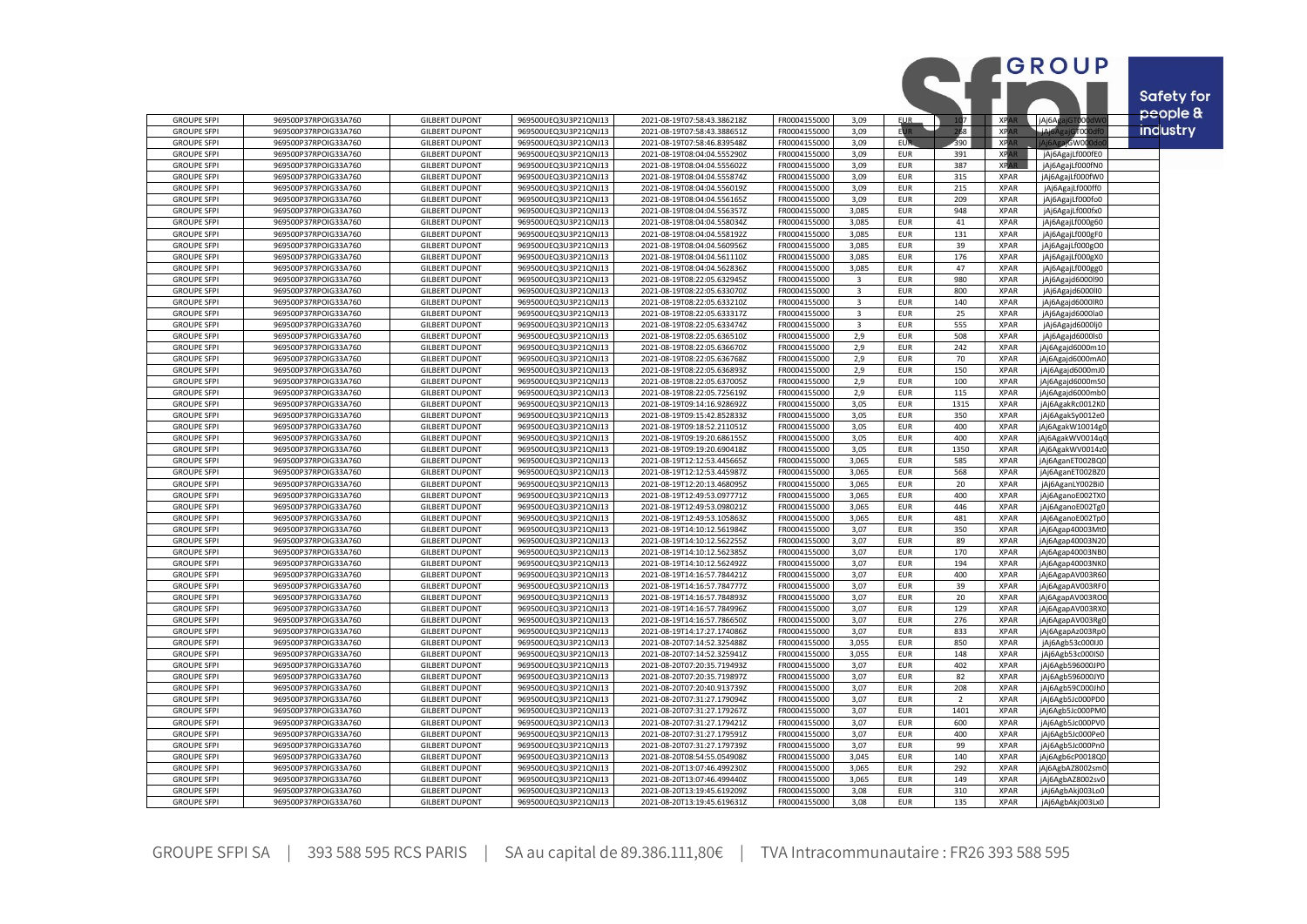|                                          |                                              |                                                |                                              |                                                            |                              |                |                          |                       |                            | <b>GROUP</b>                         | Safety for      |
|------------------------------------------|----------------------------------------------|------------------------------------------------|----------------------------------------------|------------------------------------------------------------|------------------------------|----------------|--------------------------|-----------------------|----------------------------|--------------------------------------|-----------------|
| <b>GROUPE SFPI</b>                       | 969500P37RPOIG33A760                         | <b>GILBERT DUPONT</b>                          | 969500UEQ3U3P21QNJ13                         | 2021-08-19T07:58:43.386218Z                                | FR0004155000                 | 3.09           | <b>EUR</b>               | 107                   | <b>XRA</b>                 | GT000dW<br>jAj6As                    | people &        |
| <b>GROUPE SFPI</b>                       | 969500P37RPOIG33A760                         | <b>GILBERT DUPONT</b>                          | 969500UEQ3U3P21QNJ13                         | 2021-08-19T07:58:43.388651Z                                | FR0004155000                 | 3,09           | ЕUІ                      | 68                    | <b>XPA</b>                 | أكنفت<br>stooodf                     | <b>industry</b> |
| <b>GROUPE SFPI</b>                       | 969500P37RPOIG33A760                         | <b>GILBERT DUPONT</b>                          | 969500UEQ3U3P21QNJ13                         | 2021-08-19T07:58:46.839548Z                                | FR0004155000                 | 3.09           | EUR                      | 390                   | <b>XPAR</b>                | aiGW00                               |                 |
| <b>GROUPE SFPI</b>                       | 969500P37RPOIG33A760                         | <b>GILBERT DUPONT</b>                          | 969500UEQ3U3P21QNJ13                         | 2021-08-19T08:04:04.555290Z                                | FR0004155000                 | 3,09           | <b>EUR</b>               | 391                   | <b>XPAR</b>                | jAj6AgajLf000fE0                     |                 |
| <b>GROUPE SFPI</b>                       | 969500P37RPOIG33A760                         | <b>GILBERT DUPONT</b>                          | 969500UEQ3U3P21QNJ13                         | 2021-08-19T08:04:04.555602Z                                | FR0004155000                 | 3.09           | <b>EUR</b>               | 387                   | <b>XPAR</b>                | jAj6AgajLf000fN0                     |                 |
| <b>GROUPE SFPI</b>                       | 969500P37RPOIG33A760                         | <b>GILBERT DUPONT</b>                          | 969500UEQ3U3P21QNJ13                         | 2021-08-19T08:04:04.555874Z                                | FR0004155000                 | 3,09           | <b>EUR</b>               | 315                   | <b>XPAR</b>                | jAj6AgajLf000fW0                     |                 |
| <b>GROUPE SFPI</b>                       | 969500P37RPOIG33A760                         | <b>GILBERT DUPONT</b>                          | 969500UEQ3U3P21QNJ13                         | 2021-08-19T08:04:04.556019Z                                | FR0004155000                 | 3,09           | <b>EUR</b>               | 215                   | <b>XPAR</b>                | jAj6AgajLf000ff0                     |                 |
| <b>GROUPE SFPI</b>                       | 969500P37RPOIG33A760                         | <b>GILBERT DUPONT</b>                          | 969500UEQ3U3P21QNJ13                         | 2021-08-19T08:04:04.556165Z                                | FR0004155000                 | 3,09           | <b>EUR</b>               | 209                   | <b>XPAR</b>                | jAj6AgajLf000fo0                     |                 |
| <b>GROUPE SFPI</b>                       | 969500P37RPOIG33A760                         | <b>GILBERT DUPONT</b>                          | 969500UEQ3U3P21QNJ13                         | 2021-08-19T08:04:04.556357Z                                | FR0004155000                 | 3,085          | <b>EUR</b>               | 948                   | <b>XPAR</b>                | jAj6AgajLf000fx0                     |                 |
| <b>GROUPE SFPI</b>                       | 969500P37RPOIG33A760                         | <b>GILBERT DUPONT</b>                          | 969500UEQ3U3P21QNJ13                         | 2021-08-19T08:04:04.558034Z                                | FR0004155000                 | 3,085          | EUR                      | $41\,$                | <b>XPAR</b>                | jAj6AgajLf000g60                     |                 |
| <b>GROUPE SFPI</b>                       | 969500P37RPOIG33A760                         | <b>GILBERT DUPONT</b>                          | 969500UEQ3U3P21QNJ13                         | 2021-08-19T08:04:04.558192Z                                | FR0004155000                 | 3,085          | <b>EUR</b>               | 131                   | <b>XPAR</b>                | jAj6AgajLf000gF0                     |                 |
| <b>GROUPE SFPI</b><br><b>GROUPE SFPI</b> | 969500P37RPOIG33A760<br>969500P37RPOIG33A760 | <b>GILBERT DUPONT</b><br><b>GILBERT DUPONT</b> | 969500UEQ3U3P21QNJ13<br>969500UEQ3U3P21QNJ13 | 2021-08-19T08:04:04.560956Z<br>2021-08-19T08:04:04.561110Z | FR0004155000<br>FR0004155000 | 3,085<br>3,085 | <b>EUR</b><br><b>EUR</b> | 39<br>176             | <b>XPAR</b><br><b>XPAR</b> | jAj6AgajLf000gO0<br>jAj6AgajLf000gX0 |                 |
| <b>GROUPE SFPI</b>                       | 969500P37RPOIG33A760                         | <b>GILBERT DUPONT</b>                          | 969500UEQ3U3P21QNJ13                         | 2021-08-19T08:04:04.562836Z                                | FR0004155000                 | 3,085          | EUR                      | 47                    | XPAR                       | jAj6AgajLf000gg0                     |                 |
| <b>GROUPE SFPI</b>                       | 969500P37RPOIG33A760                         | <b>GILBERT DUPONT</b>                          | 969500UEQ3U3P21QNJ13                         | 2021-08-19T08:22:05.632945Z                                | FR0004155000                 | $\overline{3}$ | <b>EUR</b>               | 980                   | <b>XPAR</b>                | jAj6Agajd6000l90                     |                 |
| <b>GROUPE SFPI</b>                       | 969500P37RPOIG33A760                         | <b>GILBERT DUPONT</b>                          | 969500UEQ3U3P21QNJ13                         | 2021-08-19T08:22:05.633070Z                                | FR0004155000                 | $\overline{3}$ | <b>EUR</b>               | 800                   | <b>XPAR</b>                | jAj6Agajd6000ll0                     |                 |
| <b>GROUPE SFPI</b>                       | 969500P37RPOIG33A760                         | <b>GILBERT DUPONT</b>                          | 969500UEQ3U3P21QNJ13                         | 2021-08-19T08:22:05.633210Z                                | FR0004155000                 | 3              | <b>EUR</b>               | 140                   | <b>XPAR</b>                | jAj6Agajd6000lR0                     |                 |
| <b>GROUPE SFPI</b>                       | 969500P37RPOIG33A760                         | <b>GILBERT DUPONT</b>                          | 969500UEQ3U3P21QNJ13                         | 2021-08-19T08:22:05.633317Z                                | FR0004155000                 | 3              | <b>EUR</b>               | 25                    | <b>XPAR</b>                | jAj6Agajd6000la0                     |                 |
| <b>GROUPE SFPI</b>                       | 969500P37RPOIG33A760                         | <b>GILBERT DUPONT</b>                          | 969500UEQ3U3P21QNJ13                         | 2021-08-19T08:22:05.633474Z                                | FR0004155000                 | $\overline{3}$ | <b>EUR</b>               | 555                   | <b>XPAR</b>                | jAj6Agajd6000lj0                     |                 |
| <b>GROUPE SFPI</b>                       | 969500P37RPOIG33A760                         | <b>GILBERT DUPONT</b>                          | 969500UEQ3U3P21QNJ13                         | 2021-08-19T08:22:05.636510Z                                | FR0004155000                 | 2,9            | <b>EUR</b>               | 508                   | <b>XPAR</b>                | jAj6Agajd6000ls0                     |                 |
| <b>GROUPE SFPI</b>                       | 969500P37RPOIG33A760                         | <b>GILBERT DUPONT</b>                          | 969500UEQ3U3P21QNJ13                         | 2021-08-19T08:22:05.636670Z                                | FR0004155000                 | 2,9            | <b>EUR</b>               | 242                   | <b>XPAR</b>                | jAj6Agajd6000m10                     |                 |
| <b>GROUPE SFPI</b>                       | 969500P37RPOIG33A760                         | <b>GILBERT DUPONT</b>                          | 969500UEQ3U3P21QNJ13                         | 2021-08-19T08:22:05.636768Z                                | FR0004155000                 | 2,9            | <b>EUR</b>               | 70                    | <b>XPAR</b>                | jAj6Agajd6000mA0                     |                 |
| <b>GROUPE SFPI</b>                       | 969500P37RPOIG33A760                         | <b>GILBERT DUPONT</b>                          | 969500UEQ3U3P21QNJ13                         | 2021-08-19T08:22:05.636893Z                                | FR0004155000                 | 2,9            | <b>EUR</b>               | 150                   | <b>XPAR</b>                | jAj6Agajd6000mJ0                     |                 |
| <b>GROUPE SFPI</b>                       | 969500P37RPOIG33A760                         | <b>GILBERT DUPONT</b>                          | 969500UEQ3U3P21QNJ13                         | 2021-08-19T08:22:05.637005Z                                | FR0004155000                 | 2,9            | <b>EUR</b>               | 100                   | <b>XPAR</b>                | jAj6Agajd6000mS0                     |                 |
| <b>GROUPE SFPI</b>                       | 969500P37RPOIG33A760                         | <b>GILBERT DUPONT</b>                          | 969500UEQ3U3P21QNJ13                         | 2021-08-19T08:22:05.725619Z                                | FR0004155000                 | 2,9            | <b>EUR</b>               | 115                   | <b>XPAR</b>                | jAj6Agajd6000mb0                     |                 |
| <b>GROUPE SFPI</b>                       | 969500P37RPOIG33A760                         | <b>GILBERT DUPONT</b>                          | 969500UEQ3U3P21QNJ13                         | 2021-08-19T09:14:16.928692Z                                | FR0004155000                 | 3,05           | <b>EUR</b>               | 1315                  | <b>XPAR</b>                | jAj6AgakRc0012K0                     |                 |
| <b>GROUPE SFPI</b>                       | 969500P37RPOIG33A760                         | <b>GILBERT DUPONT</b>                          | 969500UEQ3U3P21QNJ13                         | 2021-08-19T09:15:42.852833Z                                | FR0004155000                 | 3,05           | <b>EUR</b>               | 350                   | <b>XPAR</b>                | jAj6AgakSy0012e0                     |                 |
| <b>GROUPE SFPI</b>                       | 969500P37RPOIG33A760                         | <b>GILBERT DUPONT</b>                          | 969500UEQ3U3P21QNJ13                         | 2021-08-19T09:18:52.211051Z                                | FR0004155000                 | 3,05           | <b>EUR</b>               | 400                   | <b>XPAR</b>                | jAj6AgakW10014g0                     |                 |
| <b>GROUPE SFPI</b>                       | 969500P37RPOIG33A760                         | <b>GILBERT DUPONT</b>                          | 969500UEQ3U3P21QNJ13                         | 2021-08-19T09:19:20.686155Z                                | FR0004155000                 | 3,05           | <b>EUR</b>               | 400                   | <b>XPAR</b>                | jAj6AgakWV0014q0                     |                 |
| <b>GROUPE SFPI</b>                       | 969500P37RPOIG33A760                         | <b>GILBERT DUPONT</b>                          | 969500UEQ3U3P21QNJ13                         | 2021-08-19T09:19:20.690418Z                                | FR0004155000                 | 3,05           | <b>EUR</b>               | 1350                  | <b>XPAR</b>                | jAj6AgakWV0014z0                     |                 |
| <b>GROUPE SFPI</b>                       | 969500P37RPOIG33A760                         | <b>GILBERT DUPONT</b>                          | 969500UEQ3U3P21QNJ13                         | 2021-08-19T12:12:53.445665Z                                | FR0004155000                 | 3,065          | <b>EUR</b>               | 585                   | <b>XPAR</b>                | jAj6AganET002BQ0                     |                 |
| <b>GROUPE SFPI</b>                       | 969500P37RPOIG33A760                         | <b>GILBERT DUPONT</b>                          | 969500UEQ3U3P21QNJ13                         | 2021-08-19T12:12:53.445987Z                                | FR0004155000                 | 3,065          | <b>EUR</b>               | 568                   | <b>XPAR</b>                | jAj6AganET002BZ0                     |                 |
| <b>GROUPE SFPI</b>                       | 969500P37RPOIG33A760<br>969500P37RPOIG33A760 | <b>GILBERT DUPONT</b><br><b>GILBERT DUPONT</b> | 969500UEQ3U3P21QNJ13                         | 2021-08-19T12:20:13.468095Z                                | FR0004155000                 | 3,065<br>3.065 | <b>EUR</b><br><b>EUR</b> | 20<br>400             | <b>XPAR</b><br><b>XPAR</b> | jAj6AganLY002Bi0                     |                 |
| <b>GROUPE SFPI</b><br><b>GROUPE SFPI</b> | 969500P37RPOIG33A760                         | <b>GILBERT DUPONT</b>                          | 969500UEQ3U3P21QNJ13<br>969500UEQ3U3P21QNJ13 | 2021-08-19T12:49:53.097771Z<br>2021-08-19T12:49:53.098021Z | FR0004155000<br>FR0004155000 | 3,065          | <b>EUR</b>               | 446                   | <b>XPAR</b>                | jAj6AganoE002TX0<br>jAj6AganoE002Tg0 |                 |
| <b>GROUPE SFPI</b>                       | 969500P37RPOIG33A760                         | <b>GILBERT DUPONT</b>                          | 969500UEQ3U3P21QNJ13                         | 2021-08-19T12:49:53.105863Z                                | FR0004155000                 | 3,065          | <b>EUR</b>               | 481                   | <b>XPAR</b>                | jAj6AganoE002Tp0                     |                 |
| <b>GROUPE SFPI</b>                       | 969500P37RPOIG33A760                         | <b>GILBERT DUPONT</b>                          | 969500UEQ3U3P21QNJ13                         | 2021-08-19T14:10:12.561984Z                                | FR0004155000                 | 3,07           | EUR                      | 350                   | <b>XPAR</b>                | jAj6Agap40003Mt0                     |                 |
| <b>GROUPE SFPI</b>                       | 969500P37RPOIG33A760                         | <b>GILBERT DUPONT</b>                          | 969500UEQ3U3P21QNJ13                         | 2021-08-19T14:10:12.562255Z                                | FR0004155000                 | 3,07           | <b>EUR</b>               | 89                    | <b>XPAR</b>                | jAj6Agap40003N20                     |                 |
| <b>GROUPE SFPI</b>                       | 969500P37RPOIG33A760                         | <b>GILBERT DUPONT</b>                          | 969500UEQ3U3P21QNJ13                         | 2021-08-19T14:10:12.562385Z                                | FR0004155000                 | 3,07           | EUR                      | 170                   | <b>XPAR</b>                | jAj6Agap40003NB0                     |                 |
| <b>GROUPE SFPI</b>                       | 969500P37RPOIG33A760                         | <b>GILBERT DUPONT</b>                          | 969500UEQ3U3P21QNJ13                         | 2021-08-19T14:10:12.562492Z                                | FR0004155000                 | 3.07           | <b>EUR</b>               | 194                   | <b>XPAR</b>                | jAj6Agap40003NK0                     |                 |
| <b>GROUPE SFPI</b>                       | 969500P37RPOIG33A760                         | <b>GILBERT DUPONT</b>                          | 969500UEQ3U3P21QNJ13                         | 2021-08-19T14:16:57.784421Z                                | FR0004155000                 | 3,07           | <b>EUR</b>               | 400                   | <b>XPAR</b>                | jAj6AgapAV003R60                     |                 |
| <b>GROUPE SFPI</b>                       | 969500P37RPOIG33A760                         | <b>GILBERT DUPONT</b>                          | 969500UEQ3U3P21QNJ13                         | 2021-08-19T14:16:57.784777Z                                | FR0004155000                 | 3,07           | <b>EUR</b>               | 39                    | <b>XPAR</b>                | jAj6AgapAV003RF0                     |                 |
| <b>GROUPE SFPI</b>                       | 969500P37RPOIG33A760                         | <b>GILBERT DUPONT</b>                          | 969500UEQ3U3P21QNJ13                         | 2021-08-19T14:16:57.784893Z                                | FR0004155000                 | 3,07           | <b>EUR</b>               | 20                    | <b>XPAR</b>                | jAj6AgapAV003RO0                     |                 |
| <b>GROUPE SFPI</b>                       | 969500P37RPOIG33A760                         | <b>GILBERT DUPONT</b>                          | 969500UEQ3U3P21QNJ13                         | 2021-08-19T14:16:57.784996Z                                | FR0004155000                 | 3,07           | <b>EUR</b>               | 129                   | <b>XPAR</b>                | jAj6AgapAV003RX0                     |                 |
| <b>GROUPE SFPI</b>                       | 969500P37RPOIG33A760                         | <b>GILBERT DUPONT</b>                          | 969500UEQ3U3P21QNJ13                         | 2021-08-19T14:16:57.786650Z                                | FR0004155000                 | 3,07           | <b>EUR</b>               | 276                   | <b>XPAR</b>                | jAj6AgapAV003Rg0                     |                 |
| <b>GROUPE SFPI</b>                       | 969500P37RPOIG33A760                         | <b>GILBERT DUPONT</b>                          | 969500UEQ3U3P21QNJ13                         | 2021-08-19T14:17:27.174086Z                                | FR0004155000                 | 3,07           | <b>EUR</b>               | 833                   | <b>XPAR</b>                | jAj6AgapAz003Rp0                     |                 |
| <b>GROUPE SFPI</b>                       | 969500P37RPOIG33A760                         | <b>GILBERT DUPONT</b>                          | 969500UEQ3U3P21QNJ13                         | 2021-08-20T07:14:52.325488Z                                | FR0004155000                 | 3,055          | <b>EUR</b>               | 850                   | <b>XPAR</b>                | jAj6Agb53c000IJ0                     |                 |
| <b>GROUPE SFPI</b>                       | 969500P37RPOIG33A760                         | <b>GILBERT DUPONT</b>                          | 969500UEQ3U3P21QNJ13                         | 2021-08-20T07:14:52.325941Z                                | FR0004155000                 | 3,055          | <b>EUR</b>               | 148                   | <b>XPAR</b>                | jAj6Agb53c000IS0                     |                 |
| <b>GROUPE SFPI</b>                       | 969500P37RPOIG33A760                         | <b>GILBERT DUPONT</b>                          | 969500UEQ3U3P21QNJ13                         | 2021-08-20T07:20:35.719493Z                                | FR0004155000                 | 3,07           | <b>EUR</b>               | 402                   | <b>XPAR</b>                | jAj6Agb596000JP0                     |                 |
| <b>GROUPE SFPI</b>                       | 969500P37RPOIG33A760                         | <b>GILBERT DUPONT</b>                          | 969500UEQ3U3P21QNJ13                         | 2021-08-20T07:20:35.719897Z                                | FR0004155000                 | 3,07           | <b>EUR</b>               | 82                    | <b>XPAR</b>                | jAj6Agb596000JY0                     |                 |
| <b>GROUPE SFPI</b><br><b>GROUPE SFPI</b> | 969500P37RPOIG33A760<br>969500P37RPOIG33A760 | <b>GILBERT DUPONT</b><br><b>GILBERT DUPONT</b> | 969500UEQ3U3P21QNJ13<br>969500UEQ3U3P21QNJ13 | 2021-08-20T07:20:40.913739Z<br>2021-08-20T07:31:27.179094Z | FR0004155000<br>FR0004155000 | 3,07<br>3,07   | <b>EUR</b><br>EUR        | 208<br>$\overline{2}$ | <b>XPAR</b><br><b>XPAR</b> | jAj6Agb59C000Jh0<br>jAj6Agb5Jc000PD0 |                 |
| <b>GROUPE SFPI</b>                       | 969500P37RPOIG33A760                         | <b>GILBERT DUPONT</b>                          | 969500UEQ3U3P21QNJ13                         | 2021-08-20T07:31:27.179267Z                                | FR0004155000                 | 3,07           | <b>EUR</b>               | 1401                  | <b>XPAR</b>                | jAj6Agb5Jc000PM0                     |                 |
| <b>GROUPE SFPI</b>                       | 969500P37RPOIG33A760                         | <b>GILBERT DUPONT</b>                          | 969500UEQ3U3P21QNJ13                         | 2021-08-20T07:31:27.179421Z                                | FR0004155000                 | 3,07           | <b>EUR</b>               | 600                   | <b>XPAR</b>                | jAj6Agb5Jc000PV0                     |                 |
| <b>GROUPE SFPI</b>                       | 969500P37RPOIG33A760                         | <b>GILBERT DUPONT</b>                          | 969500UEQ3U3P21QNJ13                         | 2021-08-20T07:31:27.179591Z                                | FR0004155000                 | 3,07           | <b>EUR</b>               | 400                   | <b>XPAR</b>                | jAj6Agb5Jc000Pe0                     |                 |
| <b>GROUPE SFPI</b>                       | 969500P37RPOIG33A760                         | <b>GILBERT DUPONT</b>                          | 969500UEQ3U3P21QNJ13                         | 2021-08-20T07:31:27.179739Z                                | FR0004155000                 | 3,07           | <b>EUR</b>               | 99                    | <b>XPAR</b>                | jAj6Agb5Jc000Pn0                     |                 |
| <b>GROUPE SFPI</b>                       | 969500P37RPOIG33A760                         | <b>GILBERT DUPONT</b>                          | 969500UEQ3U3P21QNJ13                         | 2021-08-20T08:54:55.054908Z                                | FR0004155000                 | 3,045          | <b>EUR</b>               | 140                   | <b>XPAR</b>                | jAj6Agb6cP0018Q0                     |                 |
| <b>GROUPE SFPI</b>                       | 969500P37RPOIG33A760                         | <b>GILBERT DUPONT</b>                          | 969500UEQ3U3P21QNJ13                         | 2021-08-20T13:07:46.499230Z                                | FR0004155000                 | 3,065          | <b>EUR</b>               | 292                   | <b>XPAR</b>                | jAj6AgbAZ8002sm0                     |                 |
| <b>GROUPE SFPI</b>                       | 969500P37RPOIG33A760                         | <b>GILBERT DUPONT</b>                          | 969500UEQ3U3P21QNJ13                         | 2021-08-20T13:07:46.499440Z                                | FR0004155000                 | 3,065          | <b>EUR</b>               | 149                   | <b>XPAR</b>                | jAj6AgbAZ8002sv0                     |                 |
| <b>GROUPE SFPI</b>                       | 969500P37RPOIG33A760                         | <b>GILBERT DUPONT</b>                          | 969500UEQ3U3P21QNJ13                         | 2021-08-20T13:19:45.619209Z                                | FR0004155000                 | 3,08           | <b>EUR</b>               | 310                   | <b>XPAR</b>                | jAj6AgbAkj003Lo0                     |                 |
| <b>GROUPE SFPI</b>                       | 969500P37RPOIG33A760                         | <b>GILBERT DUPONT</b>                          | 969500UEQ3U3P21QNJ13                         | 2021-08-20T13:19:45.619631Z                                | FR0004155000                 | 3.08           | <b>EUR</b>               | 135                   | <b>XPAR</b>                | jAj6AgbAkj003Lx0                     |                 |